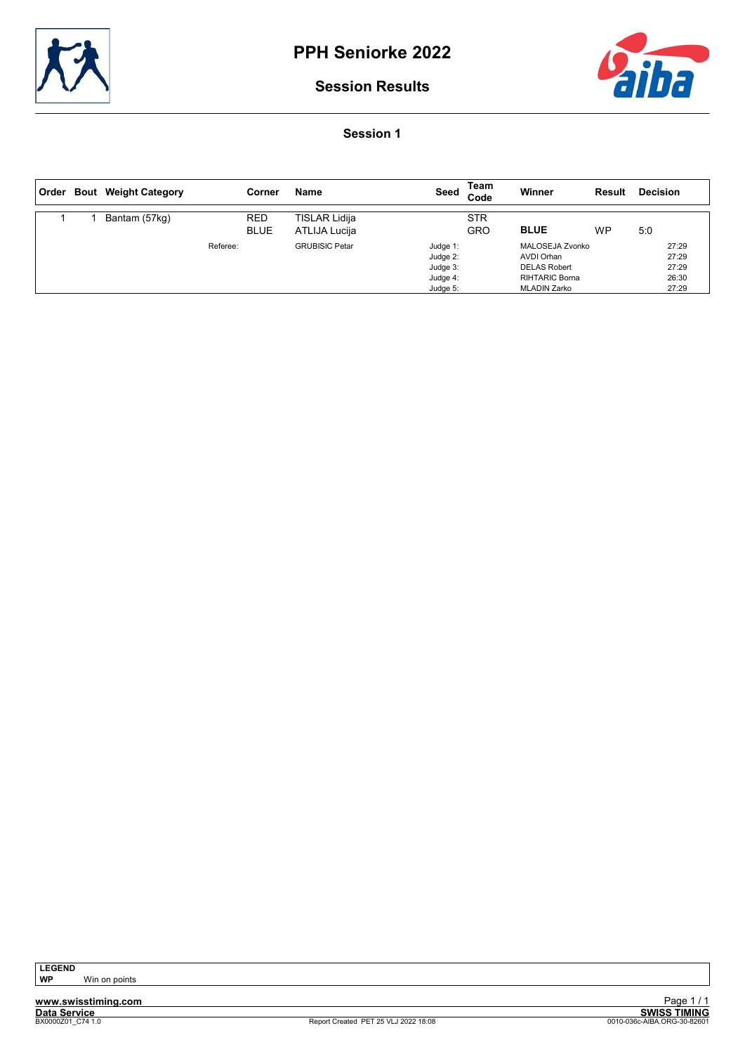



Session Results

Session 1

| ∣ Order | <b>Bout</b> Weight Category | Corner                    | Name                                  | Seed                                                     | Team<br>Code             | Winner                                                                                               | Result | <b>Decision</b>                           |  |
|---------|-----------------------------|---------------------------|---------------------------------------|----------------------------------------------------------|--------------------------|------------------------------------------------------------------------------------------------------|--------|-------------------------------------------|--|
|         | Bantam (57kg)               | <b>RED</b><br><b>BLUE</b> | <b>TISLAR Lidija</b><br>ATLIJA Lucija |                                                          | <b>STR</b><br><b>GRO</b> | <b>BLUE</b>                                                                                          | WP     | 5:0                                       |  |
|         |                             | Referee:                  | <b>GRUBISIC Petar</b>                 | Judge 1:<br>Judge 2:<br>Judge 3:<br>Judge 4:<br>Judge 5: |                          | MALOSEJA Zvonko<br>AVDI Orhan<br><b>DELAS Robert</b><br><b>RIHTARIC Borna</b><br><b>MLADIN Zarko</b> |        | 27:29<br>27:29<br>27:29<br>26:30<br>27:29 |  |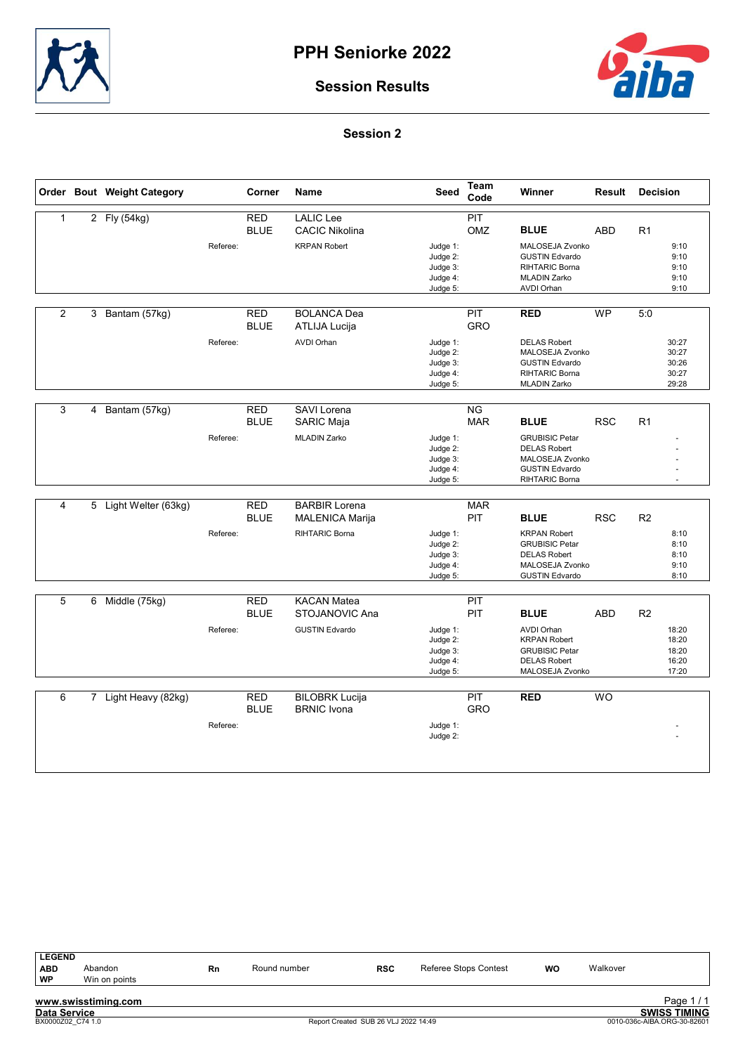



### Session Results

#### Session 2

|                |   | Order Bout Weight Category |          | Corner                    | Name                                                             | <b>Seed</b>                                                          | Team<br>Code            | Winner                                                                                                                                           | Result     | <b>Decision</b> |                                           |
|----------------|---|----------------------------|----------|---------------------------|------------------------------------------------------------------|----------------------------------------------------------------------|-------------------------|--------------------------------------------------------------------------------------------------------------------------------------------------|------------|-----------------|-------------------------------------------|
| 1              |   | 2 Fly (54kg)               | Referee: | <b>RED</b><br><b>BLUE</b> | <b>LALIC</b> Lee<br><b>CACIC Nikolina</b><br><b>KRPAN Robert</b> | Judge 1:<br>Judge 2:<br>Judge 3:<br>Judge 4:                         | PIT<br>OMZ              | <b>BLUE</b><br>MALOSEJA Zvonko<br><b>GUSTIN Edvardo</b><br><b>RIHTARIC Borna</b><br><b>MLADIN Zarko</b>                                          | <b>ABD</b> | R1              | 9:10<br>9:10<br>9:10<br>9:10              |
| $\overline{2}$ |   | 3 Bantam (57kg)            | Referee: | <b>RED</b><br><b>BLUE</b> | <b>BOLANCA Dea</b><br>ATLIJA Lucija<br><b>AVDI Orhan</b>         | Judge 5:<br>Judge 1:<br>Judge 2:<br>Judge 3:<br>Judge 4:             | PIT<br>GRO              | AVDI Orhan<br><b>RED</b><br><b>DELAS Robert</b><br>MALOSEJA Zvonko<br><b>GUSTIN Edvardo</b><br>RIHTARIC Borna                                    | <b>WP</b>  | 5:0             | 9:10<br>30:27<br>30:27<br>30:26<br>30:27  |
| 3              |   | 4 Bantam (57kg)            | Referee: | <b>RED</b><br><b>BLUE</b> | SAVI Lorena<br><b>SARIC Maja</b><br><b>MLADIN Zarko</b>          | Judge 5:<br>Judge 1:<br>Judge 2:<br>Judge 3:<br>Judge 4:<br>Judge 5: | <b>NG</b><br><b>MAR</b> | <b>MLADIN Zarko</b><br><b>BLUE</b><br><b>GRUBISIC Petar</b><br><b>DELAS Robert</b><br>MALOSEJA Zvonko<br><b>GUSTIN Edvardo</b><br>RIHTARIC Borna | <b>RSC</b> | R1              | 29:28                                     |
| 4              |   | 5 Light Welter (63kg)      | Referee: | <b>RED</b><br><b>BLUE</b> | <b>BARBIR Lorena</b><br><b>MALENICA Marija</b><br>RIHTARIC Borna | Judge 1:<br>Judge 2:<br>Judge 3:<br>Judge 4:<br>Judge 5:             | <b>MAR</b><br>PIT       | <b>BLUE</b><br><b>KRPAN Robert</b><br><b>GRUBISIC Petar</b><br><b>DELAS Robert</b><br>MALOSEJA Zvonko<br><b>GUSTIN Edvardo</b>                   | <b>RSC</b> | R <sub>2</sub>  | 8:10<br>8:10<br>8:10<br>9:10<br>8:10      |
| 5              | 6 | Middle (75kg)              | Referee: | <b>RED</b><br><b>BLUE</b> | <b>KACAN Matea</b><br>STOJANOVIC Ana<br><b>GUSTIN Edvardo</b>    | Judge 1:<br>Judge 2:<br>Judge 3:<br>Judge 4:<br>Judge 5:             | PIT<br>PIT              | <b>BLUE</b><br><b>AVDI Orhan</b><br><b>KRPAN Robert</b><br><b>GRUBISIC Petar</b><br><b>DELAS Robert</b><br>MALOSEJA Zvonko                       | <b>ABD</b> | R <sub>2</sub>  | 18:20<br>18:20<br>18:20<br>16:20<br>17:20 |
| 6              |   | 7 Light Heavy (82kg)       | Referee: | <b>RED</b><br><b>BLUE</b> | <b>BILOBRK Lucija</b><br><b>BRNIC</b> Ivona                      | Judge 1:<br>Judge 2:                                                 | PIT<br><b>GRO</b>       | <b>RED</b>                                                                                                                                       | <b>WO</b>  |                 |                                           |

| <b>LEGEND</b>       |                     |    |              |                                      |                       |           |          |                             |
|---------------------|---------------------|----|--------------|--------------------------------------|-----------------------|-----------|----------|-----------------------------|
| <b>ABD</b>          | Abandon             | Rn | Round number | <b>RSC</b>                           | Referee Stops Contest | <b>WO</b> | Walkover |                             |
| WP                  | Win on points       |    |              |                                      |                       |           |          |                             |
|                     |                     |    |              |                                      |                       |           |          |                             |
|                     | www.swisstiming.com |    |              |                                      |                       |           |          | Page 1/1                    |
| <b>Data Service</b> |                     |    |              |                                      |                       |           |          | <b>SWISS TIMING</b>         |
| BX0000Z02 C74 1.0   |                     |    |              | Report Created SUB 26 VLJ 2022 14:49 |                       |           |          | 0010-036c-AIBA.ORG-30-82601 |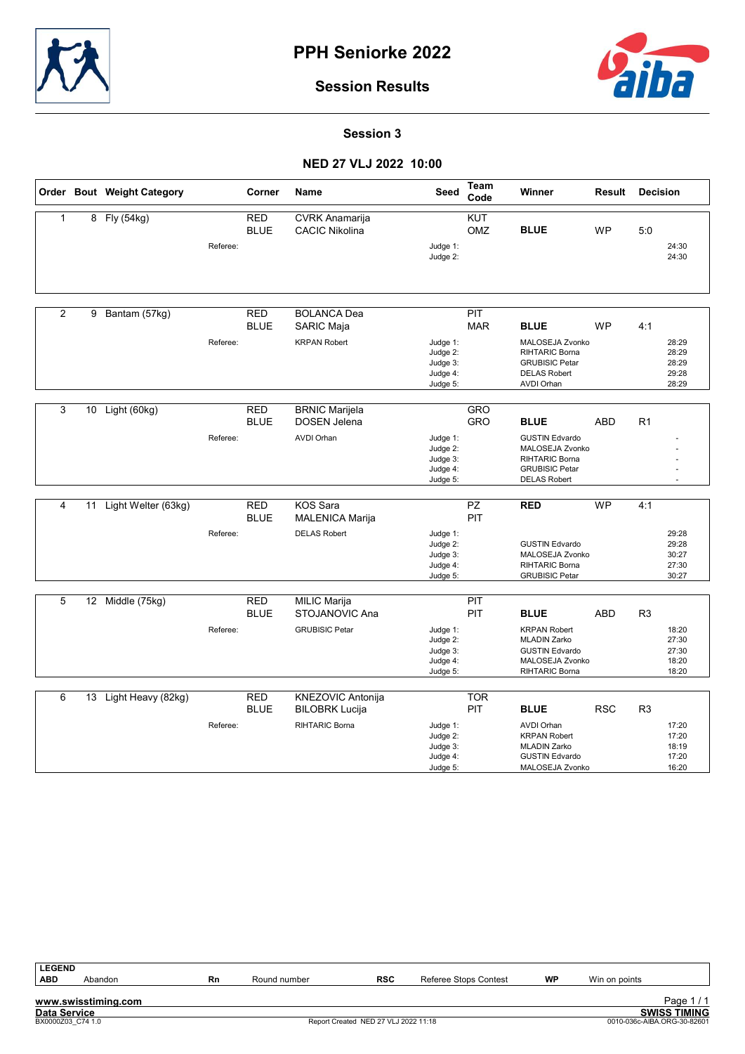



### Session Results

Session 3

#### NED 27 VLJ 2022 10:00

|                |    | Order Bout Weight Category |          | Corner                    | Name                                           | Seed                                                     | Team<br>Code      | Winner                                                                                                        | Result     | <b>Decision</b> |                                           |
|----------------|----|----------------------------|----------|---------------------------|------------------------------------------------|----------------------------------------------------------|-------------------|---------------------------------------------------------------------------------------------------------------|------------|-----------------|-------------------------------------------|
| $\mathbf{1}$   |    | 8 Fly (54kg)               | Referee: | <b>RED</b><br><b>BLUE</b> | <b>CVRK Anamarija</b><br><b>CACIC Nikolina</b> | Judge 1:<br>Judge 2:                                     | <b>KUT</b><br>OMZ | <b>BLUE</b>                                                                                                   | <b>WP</b>  | 5:0             | 24:30<br>24:30                            |
|                |    |                            |          |                           |                                                |                                                          |                   |                                                                                                               |            |                 |                                           |
| $\overline{2}$ | 9  | Bantam (57kg)              |          | <b>RED</b><br><b>BLUE</b> | <b>BOLANCA Dea</b><br>SARIC Maja               |                                                          | PIT<br><b>MAR</b> | <b>BLUE</b>                                                                                                   | <b>WP</b>  | 4:1             |                                           |
|                |    |                            | Referee: |                           | <b>KRPAN Robert</b>                            | Judge 1:<br>Judge 2:<br>Judge 3:<br>Judge 4:<br>Judge 5: |                   | MALOSEJA Zvonko<br><b>RIHTARIC Borna</b><br><b>GRUBISIC Petar</b><br><b>DELAS Robert</b><br><b>AVDI Orhan</b> |            |                 | 28:29<br>28:29<br>28:29<br>29:28<br>28:29 |
| 3              | 10 | Light (60kg)               |          | <b>RED</b>                | <b>BRNIC Marijela</b>                          |                                                          | GRO               |                                                                                                               |            |                 |                                           |
|                |    |                            |          | <b>BLUE</b>               | <b>DOSEN Jelena</b>                            |                                                          | GRO               | <b>BLUE</b>                                                                                                   | <b>ABD</b> | R1              |                                           |
|                |    |                            | Referee: |                           | <b>AVDI Orhan</b>                              | Judge 1:<br>Judge 2:<br>Judge 3:<br>Judge 4:<br>Judge 5: |                   | <b>GUSTIN Edvardo</b><br>MALOSEJA Zvonko<br>RIHTARIC Borna<br><b>GRUBISIC Petar</b><br><b>DELAS Robert</b>    |            |                 |                                           |
| $\overline{4}$ |    |                            |          |                           |                                                |                                                          |                   |                                                                                                               | <b>WP</b>  |                 |                                           |
|                | 11 | Light Welter (63kg)        |          | <b>RED</b><br><b>BLUE</b> | KOS Sara<br>MALENICA Marija                    |                                                          | PZ<br>PIT         | <b>RED</b>                                                                                                    |            | 4:1             |                                           |
|                |    |                            | Referee: |                           | <b>DELAS Robert</b>                            | Judge 1:<br>Judge 2:<br>Judge 3:<br>Judge 4:<br>Judge 5: |                   | <b>GUSTIN Edvardo</b><br>MALOSEJA Zvonko<br>RIHTARIC Borna<br><b>GRUBISIC Petar</b>                           |            |                 | 29:28<br>29:28<br>30:27<br>27:30<br>30:27 |
| 5              |    | 12 Middle (75kg)           |          | <b>RED</b>                | <b>MILIC Marija</b>                            |                                                          | PIT               |                                                                                                               |            |                 |                                           |
|                |    |                            |          | <b>BLUE</b>               | STOJANOVIC Ana                                 |                                                          | PIT               | <b>BLUE</b>                                                                                                   | <b>ABD</b> | R <sub>3</sub>  |                                           |
|                |    |                            | Referee: |                           | <b>GRUBISIC Petar</b>                          | Judge 1:<br>Judge 2:<br>Judge 3:<br>Judge 4:<br>Judge 5: |                   | <b>KRPAN Robert</b><br><b>MLADIN Zarko</b><br><b>GUSTIN Edvardo</b><br>MALOSEJA Zvonko<br>RIHTARIC Borna      |            |                 | 18:20<br>27:30<br>27:30<br>18:20<br>18:20 |
| 6              | 13 | Light Heavy (82kg)         |          | <b>RED</b>                | KNEZOVIC Antonija                              |                                                          | <b>TOR</b>        |                                                                                                               |            |                 |                                           |
|                |    |                            |          | <b>BLUE</b>               | <b>BILOBRK Lucija</b>                          |                                                          | PIT               | <b>BLUE</b>                                                                                                   | <b>RSC</b> | R <sub>3</sub>  |                                           |
|                |    |                            | Referee: |                           | RIHTARIC Borna                                 | Judge 1:<br>Judge 2:<br>Judge 3:<br>Judge 4:<br>Judge 5: |                   | <b>AVDI Orhan</b><br><b>KRPAN Robert</b><br><b>MLADIN Zarko</b><br><b>GUSTIN Edvardo</b><br>MALOSEJA Zvonko   |            |                 | 17:20<br>17:20<br>18:19<br>17:20<br>16:20 |